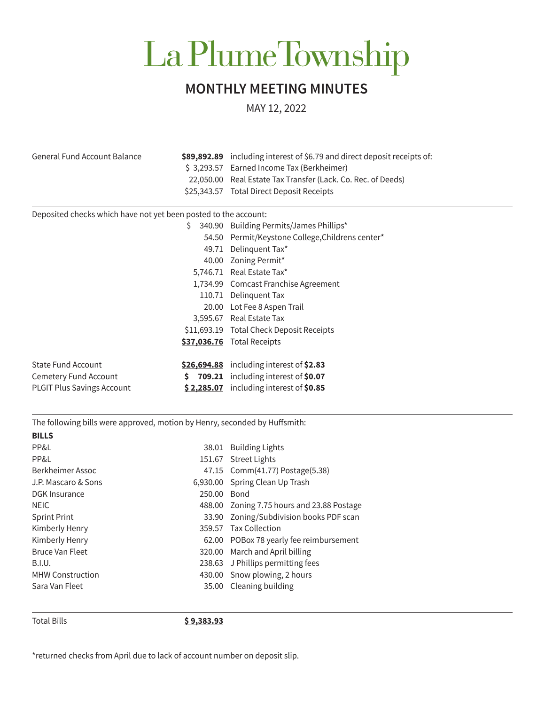## La PlumeTownship

## **MONTHLY MEETING MINUTES**

MAY 12, 2022

| <b>General Fund Account Balance</b>                                        |             | \$89,892.89 including interest of \$6.79 and direct deposit receipts of:<br>\$3,293.57 Earned Income Tax (Berkheimer)<br>22,050.00 Real Estate Tax Transfer (Lack. Co. Rec. of Deeds) |
|----------------------------------------------------------------------------|-------------|---------------------------------------------------------------------------------------------------------------------------------------------------------------------------------------|
|                                                                            |             | \$25,343.57 Total Direct Deposit Receipts                                                                                                                                             |
| Deposited checks which have not yet been posted to the account:            |             |                                                                                                                                                                                       |
|                                                                            | Š.          | 340.90 Building Permits/James Phillips*                                                                                                                                               |
|                                                                            |             | 54.50 Permit/Keystone College, Childrens center*                                                                                                                                      |
|                                                                            |             | 49.71 Delinquent Tax*                                                                                                                                                                 |
|                                                                            |             | 40.00 Zoning Permit*                                                                                                                                                                  |
|                                                                            |             | 5,746.71 Real Estate Tax*                                                                                                                                                             |
|                                                                            |             | 1,734.99 Comcast Franchise Agreement                                                                                                                                                  |
|                                                                            |             | 110.71 Delinquent Tax                                                                                                                                                                 |
|                                                                            |             | 20.00 Lot Fee 8 Aspen Trail                                                                                                                                                           |
|                                                                            |             | 3,595.67 Real Estate Tax                                                                                                                                                              |
|                                                                            |             | \$11,693.19 Total Check Deposit Receipts                                                                                                                                              |
|                                                                            |             | \$37,036.76 Total Receipts                                                                                                                                                            |
|                                                                            |             |                                                                                                                                                                                       |
| <b>State Fund Account</b>                                                  |             | \$26,694.88 including interest of \$2.83                                                                                                                                              |
| Cemetery Fund Account                                                      |             | $5$ 709.21 including interest of \$0.07                                                                                                                                               |
| <b>PLGIT Plus Savings Account</b>                                          |             | \$2,285.07 including interest of \$0.85                                                                                                                                               |
|                                                                            |             |                                                                                                                                                                                       |
| The following bills were approved, motion by Henry, seconded by Huffsmith: |             |                                                                                                                                                                                       |
| <b>BILLS</b>                                                               |             |                                                                                                                                                                                       |
| PP&L                                                                       |             | 38.01 Building Lights                                                                                                                                                                 |
| PP&L                                                                       |             | 151.67 Street Lights                                                                                                                                                                  |
| Berkheimer Assoc                                                           |             | 47.15 Comm(41.77) Postage(5.38)                                                                                                                                                       |
| J.P. Mascaro & Sons                                                        |             | 6,930.00 Spring Clean Up Trash                                                                                                                                                        |
| <b>DGK Insurance</b>                                                       | 250.00 Bond |                                                                                                                                                                                       |
| <b>NEIC</b>                                                                |             | 488.00 Zoning 7.75 hours and 23.88 Postage                                                                                                                                            |
| <b>Sprint Print</b>                                                        |             | 33.90 Zoning/Subdivision books PDF scan                                                                                                                                               |
| Kimberly Henry                                                             |             | 359.57 Tax Collection                                                                                                                                                                 |
| Kimberly Henry                                                             |             | 62.00 POBox 78 yearly fee reimbursement                                                                                                                                               |
| <b>Bruce Van Fleet</b>                                                     |             | 320.00 March and April billing                                                                                                                                                        |
| <b>B.I.U.</b>                                                              |             | 238.63 J Phillips permitting fees                                                                                                                                                     |
| <b>MHW Construction</b>                                                    |             | 430.00 Snow plowing, 2 hours                                                                                                                                                          |
| Sara Van Fleet                                                             |             | 35.00 Cleaning building                                                                                                                                                               |

Total Bills **\$ 9,383.93**

\*returned checks from April due to lack of account number on deposit slip.